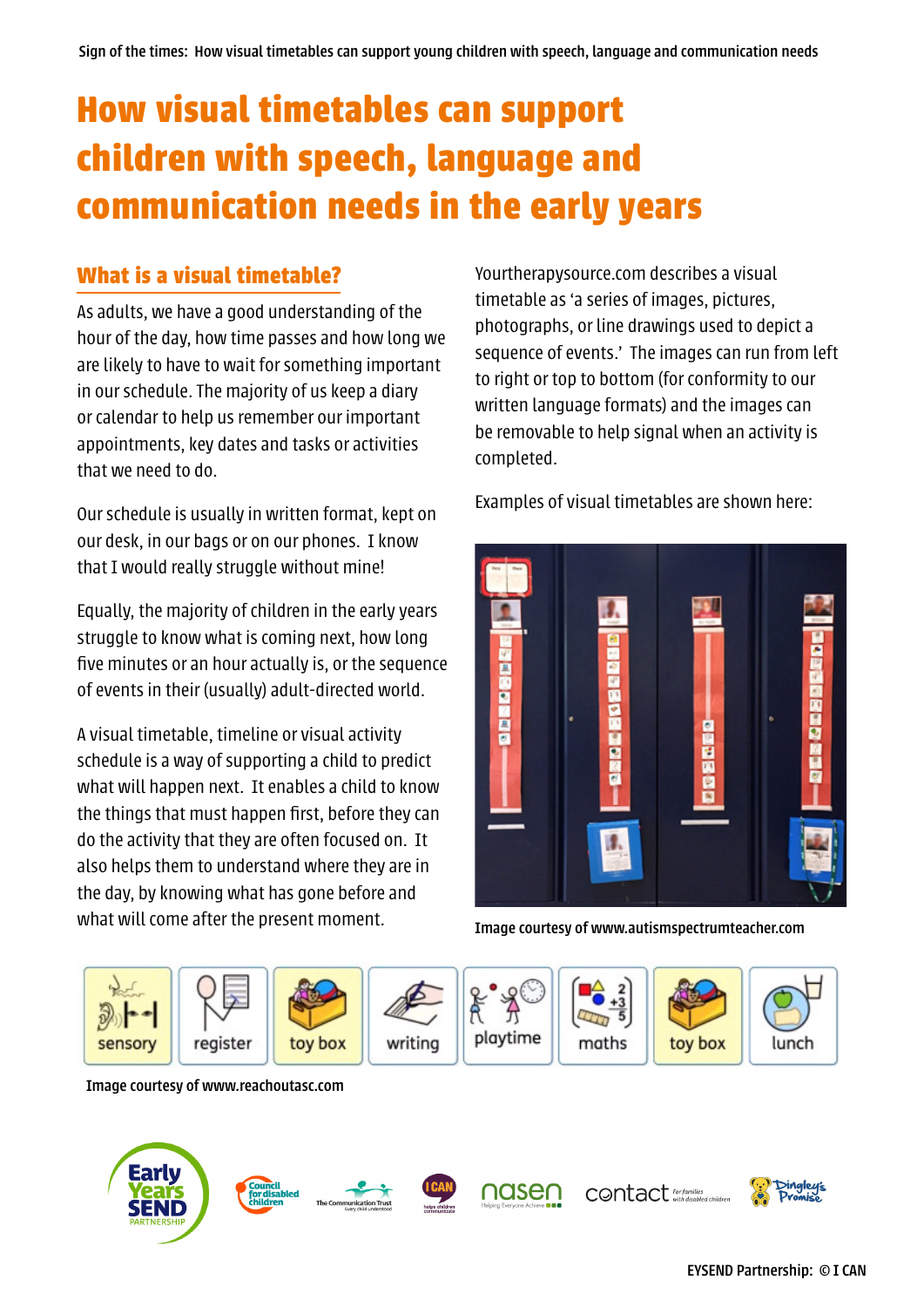# **How visual timetables can support children with speech, language and communication needs in the early years**

# **What is a visual timetable?**

As adults, we have a good understanding of the hour of the day, how time passes and how long we are likely to have to wait for something important in our schedule. The majority of us keep a diary or calendar to help us remember our important appointments, key dates and tasks or activities that we need to do.

Our schedule is usually in written format, kept on our desk, in our bags or on our phones. I know that I would really struggle without mine!

Equally, the majority of children in the early years struggle to know what is coming next, how long five minutes or an hour actually is, or the sequence of events in their (usually) adult-directed world.

A visual timetable, timeline or visual activity schedule is a way of supporting a child to predict what will happen next. It enables a child to know the things that must happen first, before they can do the activity that they are often focused on. It also helps them to understand where they are in the day, by knowing what has gone before and what will come after the present moment.

Yourtherapysource.com describes a visual timetable as 'a series of images, pictures, photographs, or line drawings used to depict a sequence of events.' The images can run from left to right or top to bottom (for conformity to our written language formats) and the images can be removable to help signal when an activity is completed.

Examples of visual timetables are shown here:



Image courtesy of www.autismspectrumteacher.com



Image courtesy of www.reachoutasc.com

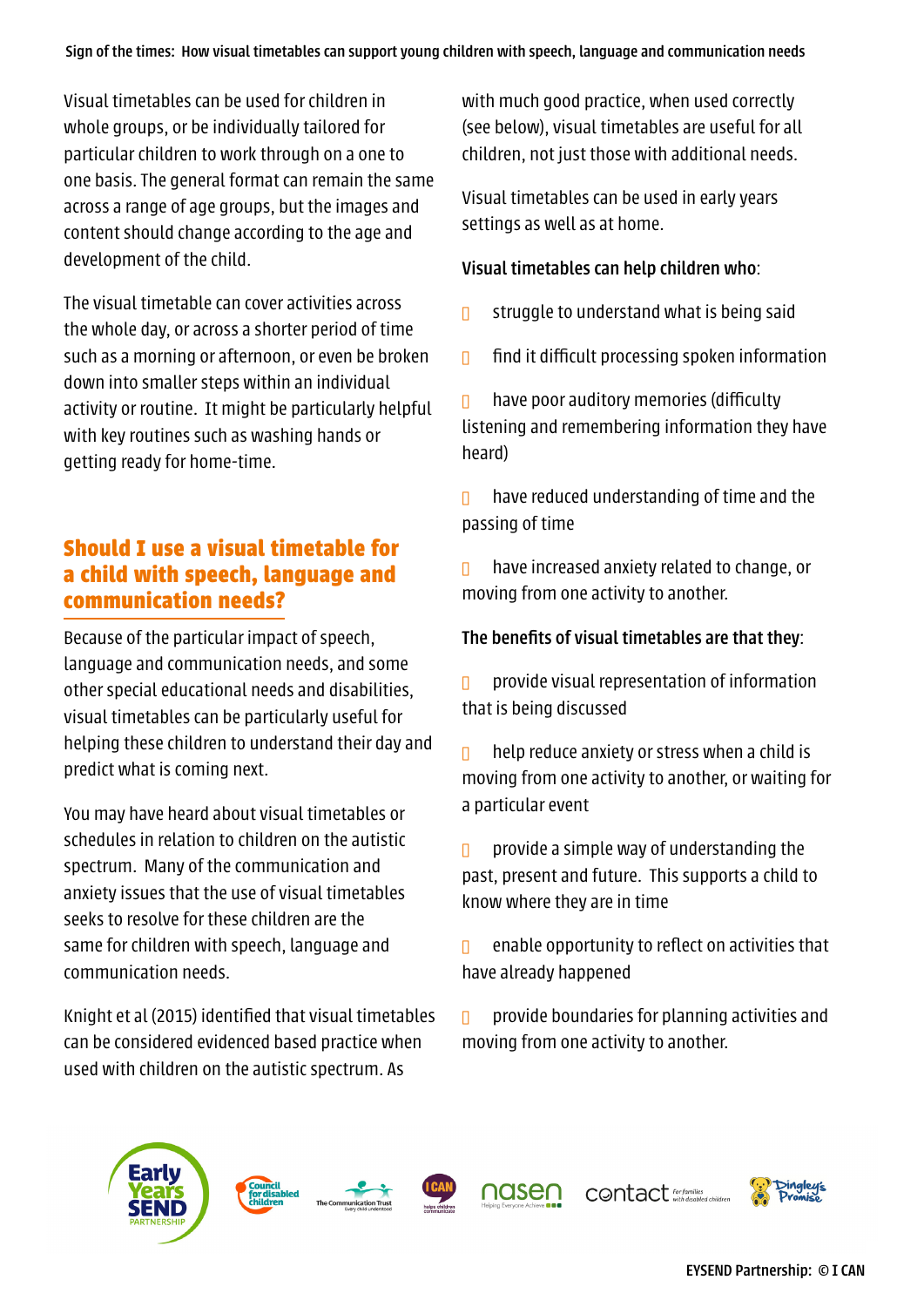Visual timetables can be used for children in whole groups, or be individually tailored for particular children to work through on a one to one basis. The general format can remain the same across a range of age groups, but the images and content should change according to the age and development of the child.

The visual timetable can cover activities across the whole day, or across a shorter period of time such as a morning or afternoon, or even be broken down into smaller steps within an individual activity or routine. It might be particularly helpful with key routines such as washing hands or getting ready for home-time.

# **Should I use a visual timetable for a child with speech, language and communication needs?**

Because of the particular impact of speech, language and communication needs, and some other special educational needs and disabilities, visual timetables can be particularly useful for helping these children to understand their day and predict what is coming next.

You may have heard about visual timetables or schedules in relation to children on the autistic spectrum. Many of the communication and anxiety issues that the use of visual timetables seeks to resolve for these children are the same for children with speech, language and communication needs.

Knight et al (2015) identified that visual timetables can be considered evidenced based practice when used with children on the autistic spectrum. As

with much good practice, when used correctly (see below), visual timetables are useful for all children, not just those with additional needs.

Visual timetables can be used in early years settings as well as at home.

## Visual timetables can help children who:

- **I** struggle to understand what is being said
- $\Box$  find it difficult processing spoken information

 $\Box$  have poor auditory memories (difficulty listening and remembering information they have heard)

 $\Box$  have reduced understanding of time and the passing of time

 $\Box$  have increased anxiety related to change, or moving from one activity to another.

## The benefits of visual timetables are that they:

 $\Box$  provide visual representation of information that is being discussed

help reduce anxiety or stress when a child is moving from one activity to another, or waiting for a particular event

**p** provide a simple way of understanding the past, present and future. This supports a child to know where they are in time

 $\Box$  enable opportunity to reflect on activities that have already happened

 $\Box$  provide boundaries for planning activities and moving from one activity to another.











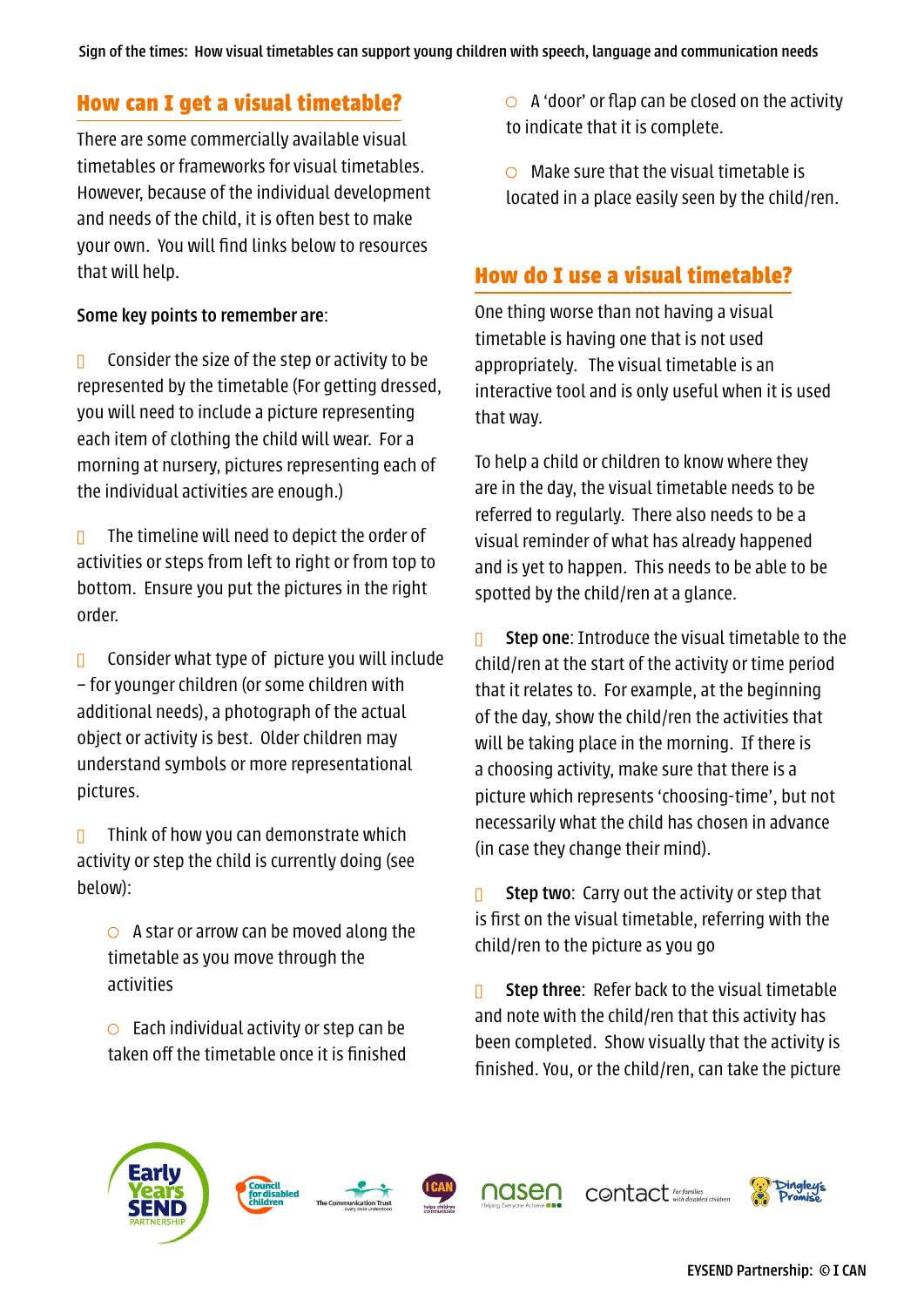## **How can I get a visual timetable?**

There are some commercially available visual timetables or frameworks for visual timetables. However, because of the individual development and needs of the child, it is often best to make your own. You will find links below to resources that will help.

## Some key points to remember are:

 $\Box$  Consider the size of the step or activity to be represented by the timetable (For getting dressed, you will need to include a picture representing each item of clothing the child will wear. For a morning at nursery, pictures representing each of the individual activities are enough.)

 $\Box$  The timeline will need to depict the order of activities or steps from left to right or from top to bottom. Ensure you put the pictures in the right order.

**a** Consider what type of picture you will include – for younger children (or some children with additional needs), a photograph of the actual object or activity is best. Older children may understand symbols or more representational pictures.

**D** Think of how you can demonstrate which activity or step the child is currently doing (see below):

 $\circ$  A star or arrow can be moved along the timetable as you move through the activities

 $\circ$  Each individual activity or step can be taken off the timetable once it is finished  $\circ$  A 'door' or flap can be closed on the activity to indicate that it is complete.

 $\circ$  Make sure that the visual timetable is located in a place easily seen by the child/ren.

# **How do I use a visual timetable?**

One thing worse than not having a visual timetable is having one that is not used appropriately. The visual timetable is an interactive tool and is only useful when it is used that way.

To help a child or children to know where they are in the day, the visual timetable needs to be referred to regularly. There also needs to be a visual reminder of what has already happened and is yet to happen. This needs to be able to be spotted by the child/ren at a glance.

 $\Box$  Step one: Introduce the visual timetable to the child/ren at the start of the activity or time period that it relates to. For example, at the beginning of the day, show the child/ren the activities that will be taking place in the morning. If there is a choosing activity, make sure that there is a picture which represents 'choosing-time', but not necessarily what the child has chosen in advance (in case they change their mind).

**n** Step two: Carry out the activity or step that is first on the visual timetable, referring with the child/ren to the picture as you go

**n** Step three: Refer back to the visual timetable and note with the child/ren that this activity has been completed. Show visually that the activity is finished. You, or the child/ren, can take the picture







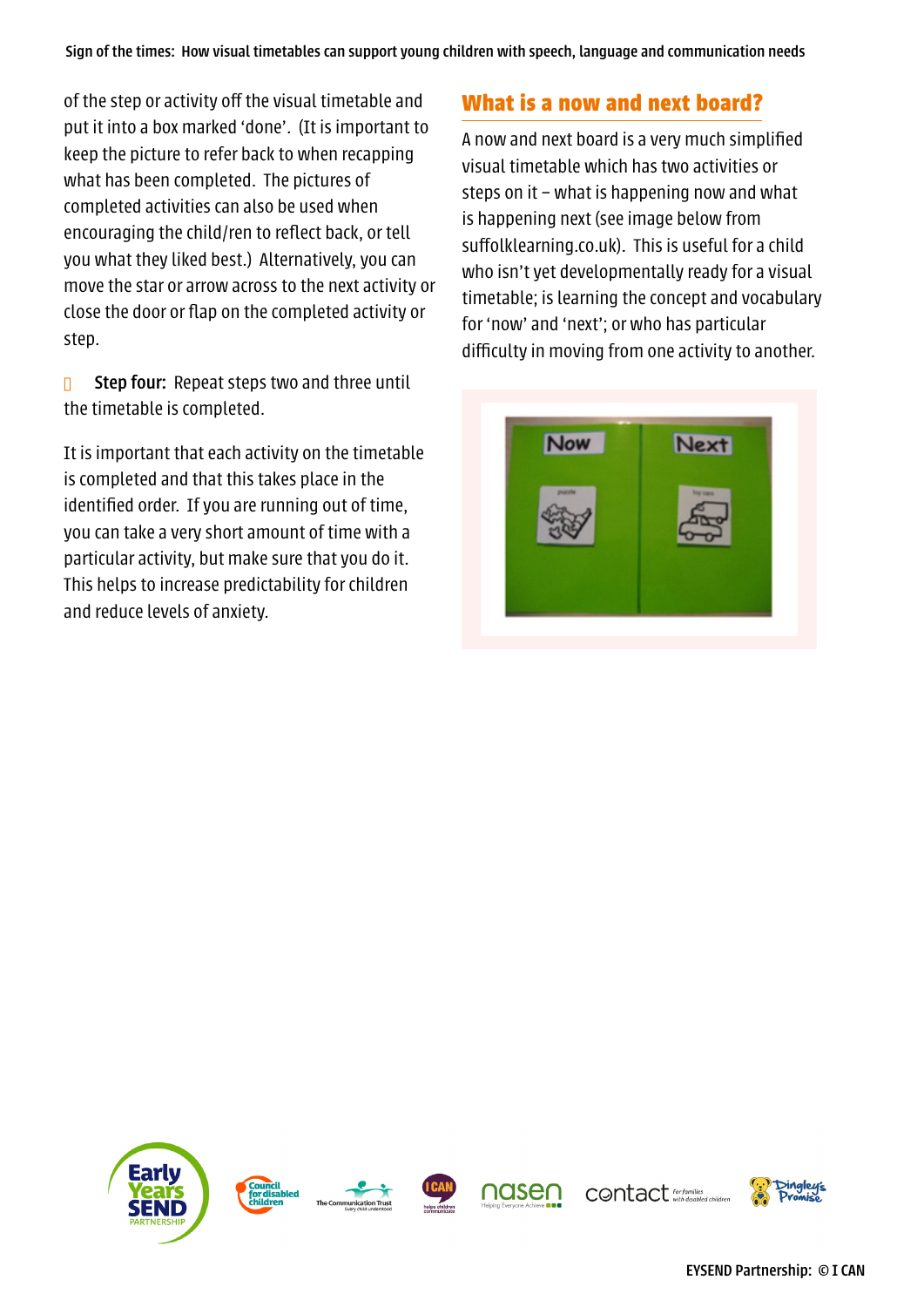of the step or activity off the visual timetable and put it into a box marked 'done'. (It is important to keep the picture to refer back to when recapping what has been completed. The pictures of completed activities can also be used when encouraging the child/ren to reflect back, or tell you what they liked best.) Alternatively, you can move the star or arrow across to the next activity or close the door or flap on the completed activity or step.

 $\Box$  Step four: Repeat steps two and three until the timetable is completed.

It is important that each activity on the timetable is completed and that this takes place in the identified order. If you are running out of time, you can take a very short amount of time with a particular activity, but make sure that you do it. This helps to increase predictability for children and reduce levels of anxiety.

# **What is a now and next board?**

A now and next board is a very much simplified visual timetable which has two activities or steps on it – what is happening now and what is happening next (see image below from suffolklearning.co.uk). This is useful for a child who isn't yet developmentally ready for a visual timetable; is learning the concept and vocabulary for 'now' and 'next'; or who has particular difficulty in moving from one activity to another.